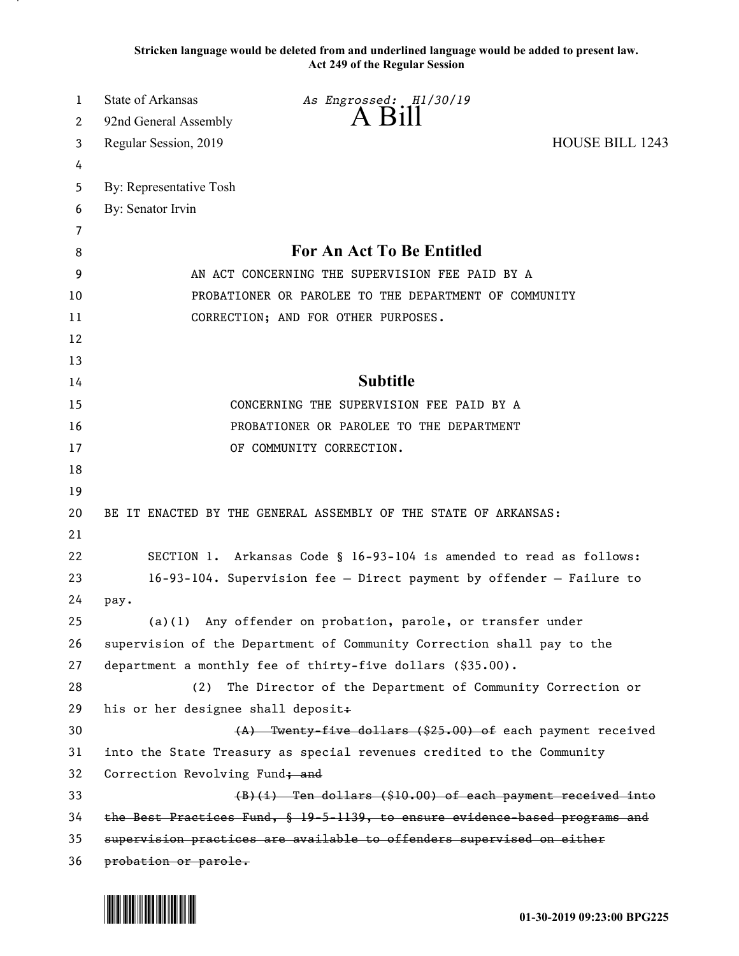**Stricken language would be deleted from and underlined language would be added to present law. Act 249 of the Regular Session**

| 1  | State of Arkansas<br>As Engrossed: H1/30/19                                 |  |
|----|-----------------------------------------------------------------------------|--|
| 2  | $A$ Bill<br>92nd General Assembly                                           |  |
| 3  | <b>HOUSE BILL 1243</b><br>Regular Session, 2019                             |  |
| 4  |                                                                             |  |
| 5  | By: Representative Tosh                                                     |  |
| 6  | By: Senator Irvin                                                           |  |
| 7  |                                                                             |  |
| 8  | For An Act To Be Entitled                                                   |  |
| 9  | AN ACT CONCERNING THE SUPERVISION FEE PAID BY A                             |  |
| 10 | PROBATIONER OR PAROLEE TO THE DEPARTMENT OF COMMUNITY                       |  |
| 11 | CORRECTION; AND FOR OTHER PURPOSES.                                         |  |
| 12 |                                                                             |  |
| 13 |                                                                             |  |
| 14 | <b>Subtitle</b>                                                             |  |
| 15 | CONCERNING THE SUPERVISION FEE PAID BY A                                    |  |
| 16 | PROBATIONER OR PAROLEE TO THE DEPARTMENT                                    |  |
| 17 | OF COMMUNITY CORRECTION.                                                    |  |
| 18 |                                                                             |  |
| 19 |                                                                             |  |
| 20 | BE IT ENACTED BY THE GENERAL ASSEMBLY OF THE STATE OF ARKANSAS:             |  |
| 21 |                                                                             |  |
| 22 | SECTION 1. Arkansas Code § 16-93-104 is amended to read as follows:         |  |
| 23 | $16-93-104$ . Supervision fee - Direct payment by offender - Failure to     |  |
| 24 | pay.                                                                        |  |
| 25 | Any offender on probation, parole, or transfer under<br>(a)(1)              |  |
| 26 | supervision of the Department of Community Correction shall pay to the      |  |
| 27 | department a monthly fee of thirty-five dollars (\$35.00).                  |  |
| 28 | The Director of the Department of Community Correction or<br>(2)            |  |
| 29 | his or her designee shall deposit+                                          |  |
| 30 | (A) Twenty-five dollars (\$25.00) of each payment received                  |  |
| 31 | into the State Treasury as special revenues credited to the Community       |  |
| 32 | Correction Revolving Fund; and                                              |  |
| 33 | $(B)(i)$ Ten dollars (\$10.00) of each payment received into                |  |
| 34 | the Best Practices Fund, § 19-5-1139, to ensure evidence based programs and |  |
| 35 | supervision practices are available to offenders supervised on either       |  |
| 36 | probation or parole.                                                        |  |

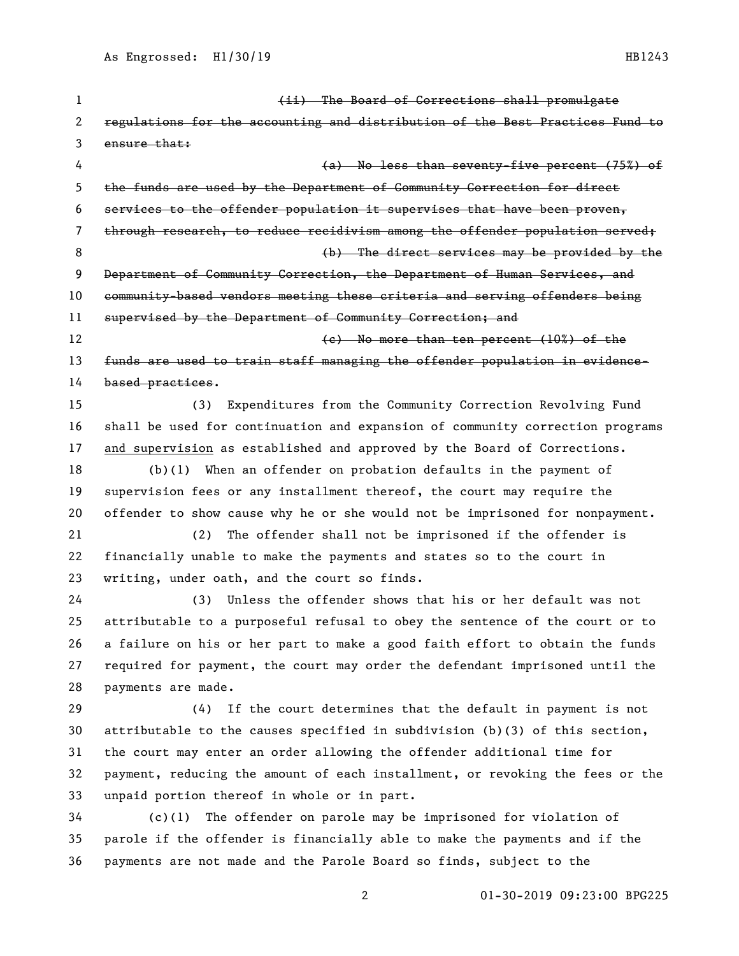| $\mathbf{1}$ | (ii) The Board of Corrections shall promulgate                                |
|--------------|-------------------------------------------------------------------------------|
| 2            | regulations for the accounting and distribution of the Best Practices Fund to |
| 3            | ensure that:                                                                  |
| 4            | (a) No less than seventy-five percent (75%) of                                |
| 5            | the funds are used by the Department of Community Correction for direct       |
| 6            | services to the offender population it supervises that have been proven,      |
| 7            | through research, to reduce recidivism among the offender population served;  |
| 8            | (b) The direct services may be provided by the                                |
| 9            | Department of Community Correction, the Department of Human Services, and     |
| 10           | community-based vendors meeting these criteria and serving offenders being    |
| 11           | supervised by the Department of Community Correction; and                     |
| 12           | $(e)$ No more than ten percent $(10%)$ of the                                 |
| 13           | funds are used to train staff managing the offender population in evidence-   |
| 14           | based practices.                                                              |
| 15           | Expenditures from the Community Correction Revolving Fund<br>(3)              |
| 16           | shall be used for continuation and expansion of community correction programs |
| 17           | and supervision as established and approved by the Board of Corrections.      |
| 18           | When an offender on probation defaults in the payment of<br>(b)(1)            |
| 19           | supervision fees or any installment thereof, the court may require the        |
| 20           | offender to show cause why he or she would not be imprisoned for nonpayment.  |
| 21           | The offender shall not be imprisoned if the offender is<br>(2)                |
| 22           | financially unable to make the payments and states so to the court in         |
| 23           | writing, under oath, and the court so finds.                                  |
| 24           | Unless the offender shows that his or her default was not<br>(3)              |
| 25           | attributable to a purposeful refusal to obey the sentence of the court or to  |
| 26           | a failure on his or her part to make a good faith effort to obtain the funds  |
| 27           | required for payment, the court may order the defendant imprisoned until the  |
| 28           | payments are made.                                                            |
| 29           | If the court determines that the default in payment is not<br>(4)             |
| 30           | attributable to the causes specified in subdivision (b)(3) of this section,   |
| 31           | the court may enter an order allowing the offender additional time for        |
| 32           | payment, reducing the amount of each installment, or revoking the fees or the |
| 33           | unpaid portion thereof in whole or in part.                                   |
| 34           | The offender on parole may be imprisoned for violation of<br>(c)(1)           |
| 35           | parole if the offender is financially able to make the payments and if the    |
| 36           | payments are not made and the Parole Board so finds, subject to the           |